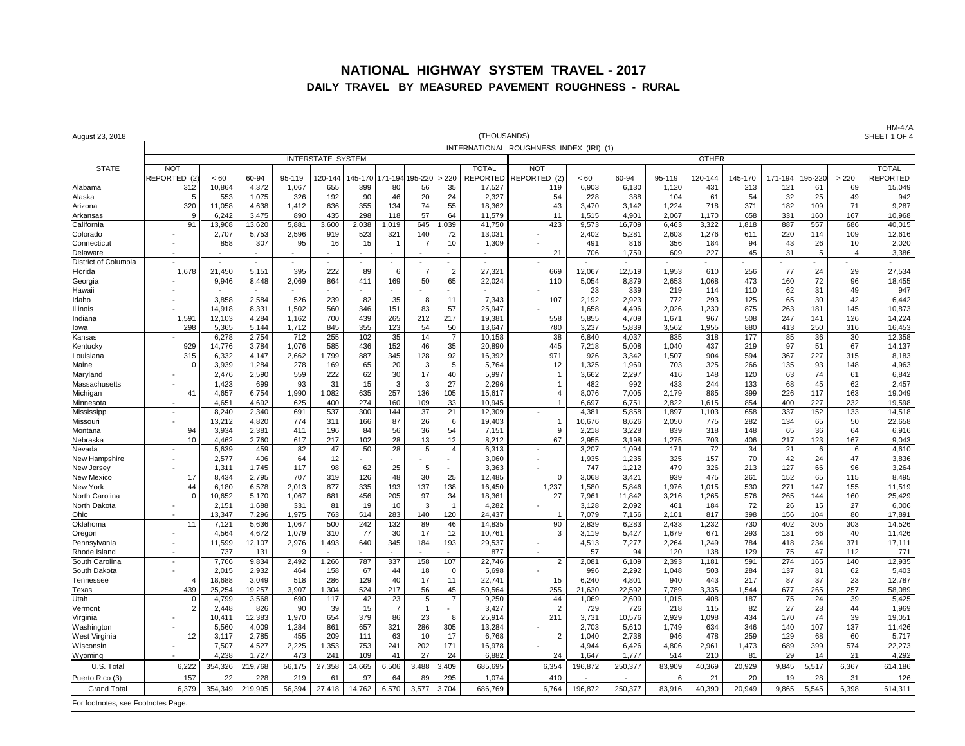#### **NATIONAL HIGHWAY SYSTEM TRAVEL - 2017 DAILY TRAVEL BY MEASURED PAVEMENT ROUGHNESS - RURAL**

| August 23, 2018                    | (THOUSANDS)              |                          |                 |                 |                |                |                |                |                |                           |                                         |                 |                 |                 | <b>HM-47A</b><br>SHEET 1 OF 4 |                |                |               |                      |                    |
|------------------------------------|--------------------------|--------------------------|-----------------|-----------------|----------------|----------------|----------------|----------------|----------------|---------------------------|-----------------------------------------|-----------------|-----------------|-----------------|-------------------------------|----------------|----------------|---------------|----------------------|--------------------|
|                                    |                          |                          |                 |                 |                |                |                |                |                |                           | INTERNATIONAL ROUGHNESS INDEX (IRI) (1) |                 |                 |                 |                               |                |                |               |                      |                    |
|                                    |                          | <b>INTERSTATE SYSTEM</b> |                 |                 |                |                |                |                |                |                           |                                         |                 |                 | <b>OTHER</b>    |                               |                |                |               |                      |                    |
| <b>STATE</b>                       | <b>NOT</b>               |                          |                 |                 |                |                |                |                |                | <b>TOTAL</b>              | <b>NOT</b>                              |                 |                 |                 |                               |                |                |               |                      | <b>TOTAL</b>       |
| Alabama                            | REPORTED (<br>312        | < 60<br>10,864           | 60-94<br>4,372  | 95-119<br>1,067 | 120-144<br>655 | 145-170<br>399 | 71-194<br>80   | 195-220<br>56  | >220<br>35     | <b>REPORTED</b><br>17,527 | REPORTED<br>119                         | < 60<br>6,903   | 60-94<br>6,130  | 95-119<br>1,120 | 120-144<br>431                | 145-170<br>213 | 171-194<br>121 | 195-220<br>61 | >220<br>69           | REPORTED<br>15,049 |
| Alaska                             | 5                        | 553                      | 1.075           | 326             | 192            | 90             | 46             | 20             | 24             | 2.327                     | 54                                      | 228             | 388             | 104             | 61                            | 54             | 32             | 25            | 49                   | 942                |
| Arizona                            | 320                      | 11,058                   | 4,638           | 1,412           | 636            | 355            | 134            | 74             | 55             | 18,362                    | 43                                      | 3,470           | 3,142           | 1,224           | 718                           | 371            | 182            | 109           | 71                   | 9,287              |
| Arkansas                           | c                        | 6,242                    | 3.475           | 890             | 435            | 298            | 118            | 57             | 64             | 11,579                    | 11                                      | 1,515           | 4.901           | 2,067           | 1.170                         | 658            | 331            | 160           | 167                  | 10,968             |
| California                         | 91                       | 13,908                   | 13,620          | 5,881           | 3,600          | 2,038          | 1,019          | 645            | 1,039          | 41,750                    | 423                                     | 9,573           | 16,709          | 6,463           | 3,322                         | 1,818          | 887            | 557           | 686                  | 40,015             |
| Colorado                           |                          | 2,707                    | 5,753           | 2,596           | 919            | 523            | 321            | 140            | 72             | 13,031                    |                                         | 2,402           | 5,281           | 2,603           | 1,276                         | 611            | 220            | 114           | 109                  | 12,616             |
| Connecticut                        |                          | 858                      | 307             | 95              | 16             | 15             | -1             | 7              | 10             | 1,309                     |                                         | 491             | 816             | 356             | 184<br>227                    | 94<br>45       | 43<br>31       | 26            | 10<br>$\overline{4}$ | 2,020<br>3,386     |
| Delaware<br>District of Columbia   |                          |                          |                 |                 |                |                |                |                |                |                           | 21                                      | 706             | 1,759           | 609             |                               |                |                | 5             |                      |                    |
| Florida                            | 1,678                    | 21,450                   | 5,151           | 395             | 222            | 89             | 6              | $\overline{7}$ | $\overline{2}$ | 27,321                    | 669                                     | 12,067          | 12,519          | 1,953           | 610                           | 256            | 77             | 24            | 29                   | 27,534             |
| Georgia                            |                          | 9,946                    | 8,448           | 2,069           | 864            | 411            | 169            | 50             | 65             | 22,024                    | 110                                     | 5,054           | 8,879           | 2,653           | 1,068                         | 473            | 160            | 72            | 96                   | 18,455             |
| Hawaii                             |                          |                          |                 |                 |                |                |                |                |                |                           |                                         | 23              | 339             | 219             | 114                           | 110            | 62             | 31            | 49                   | 947                |
| Idaho                              |                          | 3,858                    | 2,584           | 526             | 239            | 82             | 35             | 8              | 11             | 7,343                     | 107                                     | 2,192           | 2,923           | 772             | 293                           | 125            | 65             | 30            | 42                   | 6,442              |
| Illinois                           |                          | 14,918                   | 8.331           | 1,502           | 560            | 346            | 151            | 83             | 57             | 25.947                    |                                         | 1,658           | 4,496           | 2,026           | 1,230                         | 875            | 263            | 181           | 145                  | 10,873             |
| Indiana<br>lowa                    | 1,59<br>298              | 12,103<br>5,365          | 4,284<br>5,144  | 1,162<br>1,712  | 700<br>845     | 439<br>355     | 265<br>123     | 212<br>54      | 217<br>50      | 19,381<br>13,647          | 558<br>780                              | 5,855<br>3,237  | 4,709<br>5,839  | 1,671<br>3,562  | 967<br>1,955                  | 508<br>880     | 247<br>413     | 141<br>250    | 126<br>316           | 14,224<br>16,453   |
| Kansas                             |                          | 6,278                    | 2,754           | 712             | 255            | 102            | 35             | 14             | -7             | 10,158                    | 38                                      | 6,840           | 4,037           | 835             | 318                           | 177            | 85             | 36            | 30                   | 12,358             |
| Kentucky                           | 929                      | 14,776                   | 3,784           | 1,076           | 585            | 436            | 152            | 46             | 35             | 20,890                    | 445                                     | 7,218           | 5,008           | 1.040           | 437                           | 219            | 97             | 51            | 67                   | 14,137             |
| Louisiana                          | 315                      | 6,332                    | 4.147           | 2,662           | 1.799          | 887            | 345            | 128            | 92             | 16,392                    | 971                                     | 926             | 3.342           | 1,507           | 904                           | 594            | 367            | 227           | 315                  | 8,183              |
| Maine                              | $\Omega$                 | 3,939                    | 1,284           | 278             | 169            | 65             | 20             | 3              | 5              | 5,764                     | 12                                      | 1,325           | 1,969           | 703             | 325                           | 266            | 135            | 93            | 148                  | 4,963              |
| Maryland                           |                          | 2,476                    | 2,590           | 559             | 222            | 62             | 30             | 17             | 40             | 5,997                     | $\overline{1}$                          | 3,662           | 2,297           | 416             | 148                           | 120            | 63             | 74            | 61                   | 6,842              |
| Massachusetts                      |                          | 1,423                    | 699             | 93              | 31             | 15             | 3              | 3              | 27             | 2.296                     | $\mathbf{1}$                            | 482             | 992             | 433             | 244                           | 133            | 68             | 45            | 62                   | 2,457              |
| Michigan<br>Minnesota              | 41                       | 4,657<br>4,651           | 6,754<br>4,692  | 1,990<br>625    | 1,082<br>400   | 635<br>274     | 257<br>160     | 136<br>109     | 105<br>33      | 15,617<br>10,945          | $\overline{4}$<br>$\mathbf{1}$          | 8.076<br>6,697  | 7,005<br>6,751  | 2,179<br>2,822  | 885<br>1,615                  | 399<br>854     | 226<br>400     | 117<br>227    | 163<br>232           | 19,049<br>19,598   |
| Mississippi                        | $\overline{\phantom{a}}$ | 8,240                    | 2,340           | 691             | 537            | 300            | 144            | 37             | 21             | 12,309                    |                                         | 4,381           | 5,858           | 1,897           | 1,103                         | 658            | 337            | 152           | 133                  | 14,518             |
| Missouri                           |                          | 13,212                   | 4,820           | 774             | 311            | 166            | 87             | 26             | 6              | 19,403                    | $\mathbf{1}$                            | 10,676          | 8,626           | 2,050           | 775                           | 282            | 134            | 65            | 50                   | 22,658             |
| Montana                            | 94                       | 3,934                    | 2,381           | 411             | 196            | 84             | 56             | 36             | 54             | 7,151                     | 9                                       | 2,218           | 3,228           | 839             | 318                           | 148            | 65             | 36            | 64                   | 6,916              |
| Nebraska                           | 10                       | 4,462                    | 2,760           | 617             | 217            | 102            | 28             | 13             | 12             | 8,212                     | 67                                      | 2,955           | 3,198           | 1,275           | 703                           | 406            | 217            | 123           | 167                  | 9,043              |
| Nevada                             |                          | 5.639                    | 459             | 82              | 47             | 50             | 28             | 5              | $\overline{4}$ | 6,313                     | $\overline{\phantom{a}}$                | 3,207           | 1,094           | 171             | 72                            | 34             | 21             | 6             | 6                    | 4,610              |
| New Hampshire<br>New Jersey        |                          | 2,577<br>1,311           | 406<br>1,745    | 64<br>117       | 12<br>98       | 62             | 25             | 5              |                | 3,060<br>3,363            |                                         | 1,935<br>747    | 1,235<br>1,212  | 325<br>479      | 157<br>326                    | 70<br>213      | 42<br>127      | 24<br>66      | 47<br>96             | 3,836<br>3,264     |
| New Mexico                         | 17                       | 8.434                    | 2.795           | 707             | 319            | 126            | 48             | 30             | 25             | 12.485                    | $\Omega$                                | 3.068           | 3,421           | 939             | 475                           | 261            | 152            | 65            | 115                  | 8,495              |
| New York                           | 44                       | 6,180                    | 6,578           | 2,013           | 877            | 335            | 193            | 137            | 138            | 16,450                    | 1,237                                   | 1,580           | 5,846           | 1,976           | 1,015                         | 530            | 271            | 147           | 155                  | 11,519             |
| North Carolina                     | $\Omega$                 | 10,652                   | 5,170           | 1,067           | 681            | 456            | 205            | 97             | 34             | 18,361                    | 27                                      | 7,961           | 11,842          | 3,216           | 1,265                         | 576            | 265            | 144           | 160                  | 25,429             |
| North Dakota                       |                          | 2,151                    | 1,688           | 331             | 81             | 19             | 10             | 3              |                | 4,282                     |                                         | 3,128           | 2,092           | 461             | 184                           | 72             | 26             | 15            | 27                   | 6,006              |
| Ohio                               | 11                       | 13.347                   | 7.296           | 1.975<br>1,067  | 763<br>500     | 514<br>242     | 283<br>132     | 140<br>89      | 120            | 24.437<br>14,835          | $\mathbf{1}$<br>90                      | 7.079<br>2,839  | 7,156<br>6,283  | 2.101<br>2,433  | 817<br>1,232                  | 398<br>730     | 156<br>402     | 104<br>305    | 80<br>303            | 17,891<br>14,526   |
| Oklahoma<br>Oregon                 |                          | 7,121<br>4,564           | 5,636<br>4,672  | 1,079           | 310            | 77             | 30             | 17             | 46<br>12       | 10,761                    | 3                                       | 3,119           | 5,427           | 1,679           | 671                           | 293            | 131            | 66            | 40                   | 11,426             |
| Pennsylvania                       |                          | 11,599                   | 12,107          | 2,976           | 1,493          | 640            | 345            | 184            | 193            | 29,537                    | $\blacksquare$                          | 4,513           | 7,277           | 2,264           | 1,249                         | 784            | 418            | 234           | 371                  | 17,111             |
| Rhode Island                       |                          | 737                      | 131             | <b>q</b>        |                |                |                |                |                | 877                       |                                         | 57              | 94              | 120             | 138                           | 129            | 75             | 47            | 112                  | 771                |
| South Carolina                     |                          | 7,766                    | 9,834           | 2,492           | 1,266          | 787            | 337            | 158            | 107            | 22,746                    | $\overline{2}$                          | 2,081           | 6,109           | 2,393           | 1,181                         | 591            | 274            | 165           | 140                  | 12,935             |
| South Dakota                       |                          | 2,015                    | 2.932           | 464             | 158            | 67             | 44             | 18             | O              | 5,698                     |                                         | 996             | 2,292           | 1,048           | 503                           | 284            | 137            | 81            | 62                   | 5,403              |
| Tennessee                          |                          | 18,688                   | 3,049           | 518             | 286            | 129            | 40             | 17             | 11             | 22,741                    | 15                                      | 6,240           | 4,801           | 940             | 443                           | 217            | 87             | 37            | 23                   | 12,787             |
| Texas<br>Utah                      | 439                      | 25,254<br>4,799          | 19.257<br>3,568 | 3,907<br>690    | 1,304<br>117   | 524<br>42      | 217<br>23      | 56<br>5        | 45             | 50.564<br>9,250           | 255<br>44                               | 21,630<br>1,069 | 22.592<br>2,609 | 7,789<br>1,015  | 3.335<br>408                  | 1,544<br>187   | 677<br>75      | 265<br>24     | 257<br>39            | 58,089<br>5,425    |
| Vermont                            | $\overline{2}$           | 2.448                    | 826             | 90              | 39             | 15             | $\overline{7}$ | $\overline{1}$ |                | 3,427                     | $\overline{2}$                          | 729             | 726             | 218             | 115                           | 82             | 27             | 28            | 44                   | 1,969              |
| Virginia                           |                          | 10,411                   | 12,383          | 1,970           | 654            | 379            | 86             | 23             | 8              | 25,914                    | 211                                     | 3,731           | 10,576          | 2,929           | 1,098                         | 434            | 170            | 74            | 39                   | 19,051             |
| Washington                         |                          | 5,560                    | 4.009           | 1,284           | 861            | 657            | 321            | 286            | 305            | 13,284                    |                                         | 2,703           | 5,610           | 1,749           | 634                           | 346            | 140            | 107           | 137                  | 11,426             |
| West Virginia                      | 12                       | 3,117                    | 2,785           | 455             | 209            | 111            | 63             | 10             | 17             | 6.768                     | 2                                       | 1.040           | 2,738           | 946             | 478                           | 259            | 129            | 68            | 60                   | 5,717              |
| Wisconsin                          |                          | 7,507                    | 4,527           | 2,225           | 1,353          | 753            | 241            | 202            | 171            | 16,978                    |                                         | 4,944           | 6,426           | 4,806           | 2,961                         | 1,473          | 689            | 399           | 574                  | 22,273             |
| Wvominc                            |                          | 4.238                    | 1.727           | 473             | 241            | 109            | 41             | 27             | 24             | 6.882                     | 24                                      | 1.647           | 1.777           | 514             | 210                           | 81             | 29             | 14            | 21                   | 4,292              |
| U.S. Total                         | 6,222                    | 354,326                  | 219,768         | 56,175          | 27,358         | 14,665         | 6,506          | 3,488          | 3,409          | 685,695                   | 6,354                                   | 196,872         | 250,377         | 83,909          | 40,369                        | 20,929         | 9,845          | 5,517         | 6,367                | 614,186            |
| Puerto Rico (3)                    | 157                      | 22                       | 228             | 219             | 61             | 97             | 64             | 89             | 295            | 1.074                     | 410                                     |                 |                 | 6               | 21                            | 20             | 19             | 28            | 31                   | 126                |
| <b>Grand Total</b>                 | 6,379                    | 354,349                  | 219,995         | 56,394          | 27,418         | 14,762         | 6,570          | 3,577          | 3,704          | 686,769                   | 6,764                                   | 196,872         | 250,377         | 83,916          | 40,390                        | 20,949         | 9,865          | 5,545         | 6,398                | 614,311            |
| For footnotes, see Footnotes Page. |                          |                          |                 |                 |                |                |                |                |                |                           |                                         |                 |                 |                 |                               |                |                |               |                      |                    |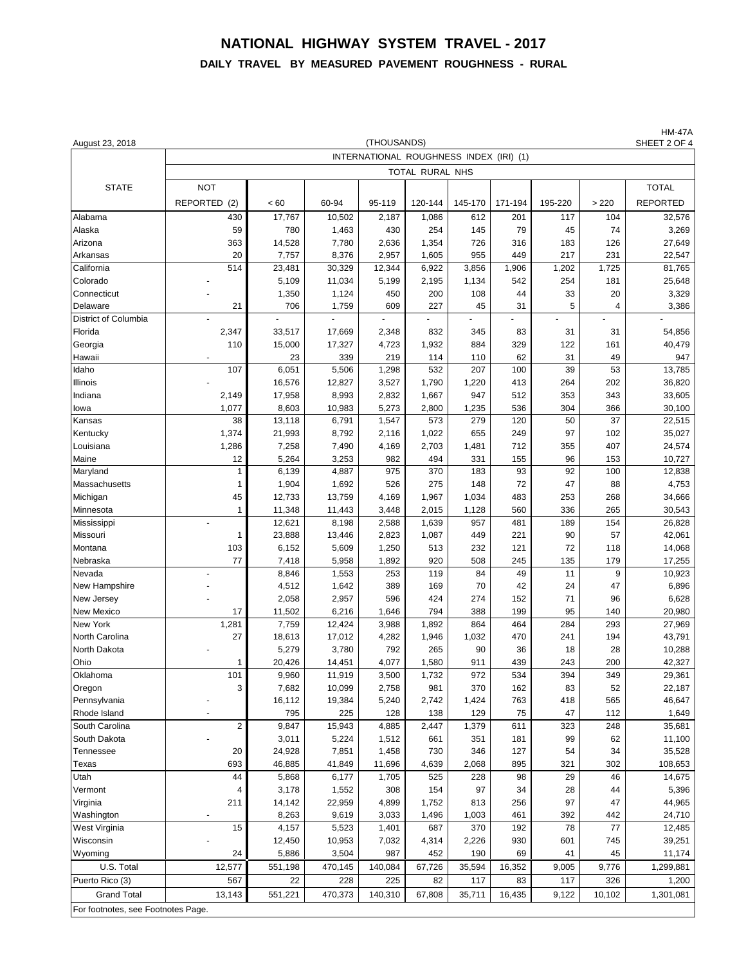## **NATIONAL HIGHWAY SYSTEM TRAVEL - 2017 DAILY TRAVEL BY MEASURED PAVEMENT ROUGHNESS - RURAL**

| August 23, 2018                    |                                         |                |                | (THOUSANDS)    |                 |            |            |           |                | <b>HM-47A</b><br>SHEET 2 OF 4 |  |  |  |  |  |
|------------------------------------|-----------------------------------------|----------------|----------------|----------------|-----------------|------------|------------|-----------|----------------|-------------------------------|--|--|--|--|--|
|                                    | INTERNATIONAL ROUGHNESS INDEX (IRI) (1) |                |                |                |                 |            |            |           |                |                               |  |  |  |  |  |
|                                    |                                         |                |                |                | TOTAL RURAL NHS |            |            |           |                |                               |  |  |  |  |  |
| <b>STATE</b>                       | <b>NOT</b>                              |                |                |                |                 |            |            |           |                | <b>TOTAL</b>                  |  |  |  |  |  |
|                                    | REPORTED<br>(2)                         | < 60           | 60-94          | 95-119         | 120-144         | 145-170    | 171-194    | 195-220   | >220           | <b>REPORTED</b>               |  |  |  |  |  |
| Alabama                            | 430                                     | 17,767         | 10,502         | 2,187          | 1,086           | 612        | 201        | 117       | 104            | 32,576                        |  |  |  |  |  |
| Alaska                             | 59                                      | 780            | 1,463          | 430            | 254             | 145        | 79         | 45        | 74             | 3,269                         |  |  |  |  |  |
| Arizona                            | 363                                     | 14,528         | 7,780          | 2,636          | 1,354           | 726        | 316        | 183       | 126            | 27,649                        |  |  |  |  |  |
| Arkansas                           | 20                                      | 7,757          | 8,376          | 2,957          | 1,605           | 955        | 449        | 217       | 231            | 22,547                        |  |  |  |  |  |
| California                         | 514                                     | 23,481         | 30,329         | 12,344         | 6,922           | 3,856      | 1,906      | 1,202     | 1,725          | 81,765                        |  |  |  |  |  |
| Colorado                           |                                         | 5,109          | 11,034         | 5,199          | 2,195           | 1,134      | 542        | 254       | 181            | 25,648                        |  |  |  |  |  |
| Connecticut                        |                                         | 1,350          | 1,124          | 450            | 200             | 108        | 44         | 33        | 20             | 3,329                         |  |  |  |  |  |
| Delaware                           | 21                                      | 706            | 1,759          | 609            | 227             | 45         | 31         | 5         | $\overline{4}$ | 3,386                         |  |  |  |  |  |
| District of Columbia               |                                         |                |                |                |                 |            |            |           |                |                               |  |  |  |  |  |
| Florida                            | 2,347                                   | 33,517         | 17,669         | 2,348          | 832             | 345        | 83         | 31        | 31             | 54,856                        |  |  |  |  |  |
| Georgia                            | 110                                     | 15,000         | 17,327         | 4,723          | 1,932           | 884        | 329        | 122       | 161            | 40,479                        |  |  |  |  |  |
| Hawaii<br>Idaho                    | 107                                     | 23<br>6,051    | 339<br>5,506   | 219<br>1,298   | 114<br>532      | 110<br>207 | 62<br>100  | 31<br>39  | 49<br>53       | 947<br>13,785                 |  |  |  |  |  |
| Illinois                           | $\overline{a}$                          | 16,576         | 12,827         | 3,527          | 1,790           | 1,220      | 413        | 264       | 202            | 36,820                        |  |  |  |  |  |
| Indiana                            | 2,149                                   | 17,958         | 8,993          | 2,832          | 1,667           | 947        | 512        | 353       | 343            | 33,605                        |  |  |  |  |  |
| lowa                               | 1,077                                   | 8,603          | 10,983         | 5,273          | 2,800           | 1,235      | 536        | 304       | 366            | 30,100                        |  |  |  |  |  |
| Kansas                             | 38                                      | 13,118         | 6,791          | 1,547          | 573             | 279        | 120        | 50        | 37             | 22,515                        |  |  |  |  |  |
| Kentucky                           | 1,374                                   | 21,993         | 8,792          | 2,116          | 1,022           | 655        | 249        | 97        | 102            | 35,027                        |  |  |  |  |  |
| Louisiana                          | 1,286                                   | 7,258          | 7,490          | 4,169          | 2,703           | 1,481      | 712        | 355       | 407            | 24,574                        |  |  |  |  |  |
| Maine                              | 12                                      | 5,264          | 3,253          | 982            | 494             | 331        | 155        | 96        | 153            | 10,727                        |  |  |  |  |  |
| Maryland                           | 1                                       | 6,139          | 4,887          | 975            | 370             | 183        | 93         | 92        | 100            | 12,838                        |  |  |  |  |  |
| Massachusetts                      | 1                                       | 1,904          | 1,692          | 526            | 275             | 148        | 72         | 47        | 88             | 4,753                         |  |  |  |  |  |
| Michigan                           | 45                                      | 12,733         | 13,759         | 4,169          | 1,967           | 1,034      | 483        | 253       | 268            | 34,666                        |  |  |  |  |  |
| Minnesota                          | 1                                       | 11,348         | 11,443         | 3,448          | 2,015           | 1,128      | 560        | 336       | 265            | 30,543                        |  |  |  |  |  |
| Mississippi                        |                                         | 12,621         | 8,198          | 2,588          | 1,639           | 957        | 481        | 189       | 154            | 26,828                        |  |  |  |  |  |
| Missouri                           | 1                                       | 23,888         | 13,446         | 2,823          | 1,087           | 449        | 221        | 90        | 57             | 42,061                        |  |  |  |  |  |
| Montana                            | 103<br>77                               | 6,152          | 5,609          | 1,250          | 513             | 232        | 121        | 72        | 118            | 14,068                        |  |  |  |  |  |
| Nebraska<br>Nevada                 |                                         | 7,418<br>8,846 | 5,958<br>1,553 | 1,892<br>253   | 920<br>119      | 508<br>84  | 245<br>49  | 135<br>11 | 179<br>9       | 17,255<br>10,923              |  |  |  |  |  |
| New Hampshire                      |                                         | 4,512          | 1,642          | 389            | 169             | 70         | 42         | 24        | 47             | 6,896                         |  |  |  |  |  |
| New Jersey                         |                                         | 2,058          | 2,957          | 596            | 424             | 274        | 152        | 71        | 96             | 6,628                         |  |  |  |  |  |
| <b>New Mexico</b>                  | 17                                      | 11,502         | 6,216          | 1,646          | 794             | 388        | 199        | 95        | 140            | 20,980                        |  |  |  |  |  |
| <b>New York</b>                    | 1,281                                   | 7,759          | 12,424         | 3,988          | 1,892           | 864        | 464        | 284       | 293            | 27,969                        |  |  |  |  |  |
| North Carolina                     | 27                                      | 18,613         | 17,012         | 4,282          | 1,946           | 1,032      | 470        | 241       | 194            | 43,791                        |  |  |  |  |  |
| North Dakota                       |                                         | 5,279          | 3,780          | 792            | 265             | 90         | 36         | 18        | 28             | 10,288                        |  |  |  |  |  |
| Ohio                               | 1                                       | 20,426         | 14,451         | 4,077          | 1,580           | 911        | 439        | 243       | 200            | 42,327                        |  |  |  |  |  |
| Oklahoma                           | 101                                     | 9,960          | 11,919         | 3,500          | 1,732           | 972        | 534        | 394       | 349            | 29,361                        |  |  |  |  |  |
| Oregon                             | 3                                       | 7,682          | 10,099         | 2,758          | 981             | 370        | 162        | 83        | 52             | 22,187                        |  |  |  |  |  |
| Pennsylvania                       |                                         | 16,112         | 19,384         | 5,240          | 2,742           | 1,424      | 763        | 418       | 565            | 46,647                        |  |  |  |  |  |
| Rhode Island                       |                                         | 795            | 225            | 128            | 138             | 129        | 75         | 47        | 112            | 1,649                         |  |  |  |  |  |
| South Carolina<br>South Dakota     | $\overline{c}$                          | 9,847<br>3,011 | 15,943         | 4,885          | 2,447           | 1,379      | 611        | 323<br>99 | 248            | 35,681<br>11,100              |  |  |  |  |  |
| Tennessee                          | 20                                      | 24,928         | 5,224<br>7,851 | 1,512<br>1,458 | 661<br>730      | 351<br>346 | 181<br>127 | 54        | 62<br>34       | 35,528                        |  |  |  |  |  |
| Texas                              | 693                                     | 46,885         | 41,849         | 11,696         | 4,639           | 2,068      | 895        | 321       | 302            | 108,653                       |  |  |  |  |  |
| Utah                               | 44                                      | 5,868          | 6,177          | 1,705          | 525             | 228        | 98         | 29        | 46             | 14,675                        |  |  |  |  |  |
| Vermont                            | 4                                       | 3,178          | 1,552          | 308            | 154             | 97         | 34         | 28        | 44             | 5,396                         |  |  |  |  |  |
| Virginia                           | 211                                     | 14,142         | 22,959         | 4,899          | 1,752           | 813        | 256        | 97        | 47             | 44,965                        |  |  |  |  |  |
| Washington                         |                                         | 8,263          | 9,619          | 3,033          | 1,496           | 1,003      | 461        | 392       | 442            | 24,710                        |  |  |  |  |  |
| West Virginia                      | 15                                      | 4,157          | 5,523          | 1,401          | 687             | 370        | 192        | 78        | 77             | 12,485                        |  |  |  |  |  |
| Wisconsin                          |                                         | 12,450         | 10,953         | 7,032          | 4,314           | 2,226      | 930        | 601       | 745            | 39,251                        |  |  |  |  |  |
| Wyoming                            | 24                                      | 5,886          | 3,504          | 987            | 452             | 190        | 69         | 41        | 45             | 11,174                        |  |  |  |  |  |
| U.S. Total                         | 12,577                                  | 551,198        | 470,145        | 140,084        | 67,726          | 35,594     | 16,352     | 9,005     | 9,776          | 1,299,881                     |  |  |  |  |  |
| Puerto Rico (3)                    | 567                                     | 22             | 228            | 225            | 82              | 117        | 83         | 117       | 326            | 1,200                         |  |  |  |  |  |
| <b>Grand Total</b>                 | 13,143                                  | 551,221        | 470,373        | 140,310        | 67,808          | 35,711     | 16,435     | 9,122     | 10,102         | 1,301,081                     |  |  |  |  |  |
| For footnotes, see Footnotes Page. |                                         |                |                |                |                 |            |            |           |                |                               |  |  |  |  |  |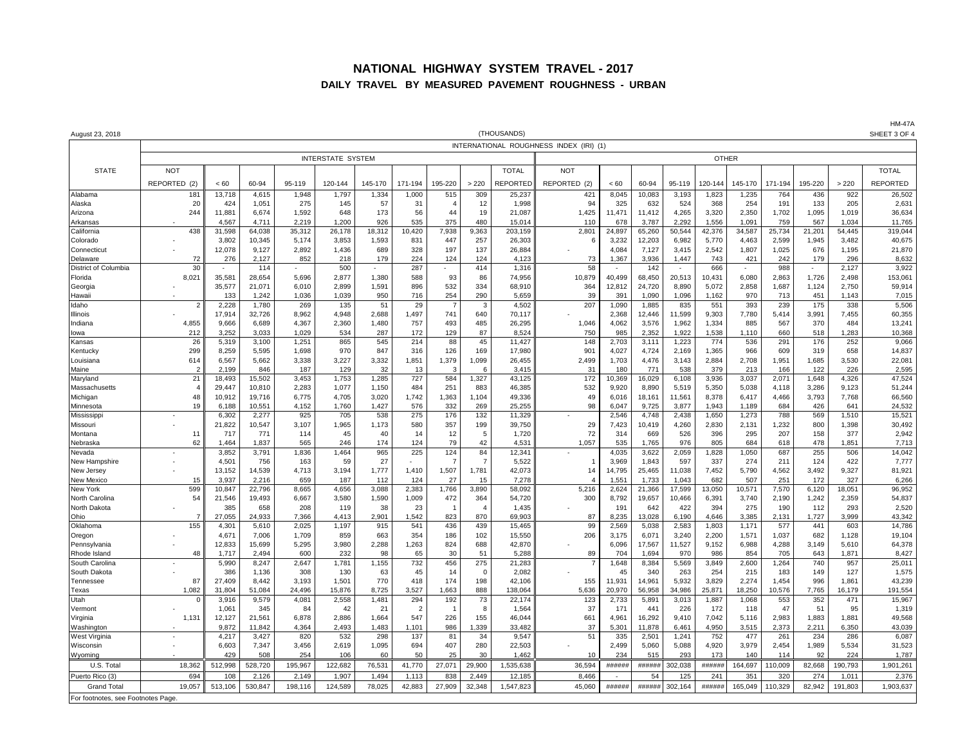#### **NATIONAL HIGHWAY SYSTEM TRAVEL - 2017 DAILY TRAVEL BY MEASURED PAVEMENT ROUGHNESS - URBAN**

|                                   |                          |                 |                 |                 |                 |                |                       |                       |                      | (THOUSANDS)       |                                         |                |                 |                  |                 |                 |               |               |                 | <b>HM-47A</b><br>SHEET 3 OF 4 |  |
|-----------------------------------|--------------------------|-----------------|-----------------|-----------------|-----------------|----------------|-----------------------|-----------------------|----------------------|-------------------|-----------------------------------------|----------------|-----------------|------------------|-----------------|-----------------|---------------|---------------|-----------------|-------------------------------|--|
| August 23, 2018                   |                          |                 |                 |                 |                 |                |                       |                       |                      |                   | INTERNATIONAL ROUGHNESS INDEX (IRI) (1) |                |                 |                  |                 |                 |               |               |                 |                               |  |
|                                   | <b>INTERSTATE SYSTEM</b> |                 |                 |                 |                 |                |                       |                       |                      |                   |                                         | <b>OTHER</b>   |                 |                  |                 |                 |               |               |                 |                               |  |
| <b>STATE</b>                      | <b>NOT</b>               |                 |                 |                 |                 |                |                       |                       |                      | <b>TOTAL</b>      | <b>NOT</b>                              |                |                 |                  |                 |                 |               |               |                 | <b>TOTAL</b>                  |  |
|                                   | REPORTED (2)             | < 60            | 60-94           | 95-119          | 120-144         | 145-170        | 171-194               | 195-220               | >220                 | REPORTED          | REPORTED (2)                            | < 60           | 60-94           | 95-119           | 120-144         | 145-170         | 171-194       | 195-220       | > 220           | <b>REPORTED</b>               |  |
| Alabama                           | 181                      | 13,718          | 4,615           | 1,948           | 1,797           | 1,334          | 1,000                 | 515                   | 309                  | 25,237            | 421                                     | 8,045          | 10,083          | 3,193            | 1,823           | 1,235           | 764           | 436           | 922             | 26,502                        |  |
| Alaska                            | 20                       | 424             | 1,051           | 275             | 145             | 57             | 31                    | $\overline{A}$        | 12                   | 1,998             | 94                                      | 325            | 632             | 524              | 368             | 254             | 191           | 133           | 205             | 2,631                         |  |
| Arizona                           | 244                      | 11,881          | 6,674           | 1,592           | 648             | 173            | 56                    | 44                    | 19                   | 21.087            | 1,425<br>11(                            | 11,471         | 11,412          | 4,265            | 3,320           | 2,350           | 1.702         | 1,095         | 1.019           | 36,634                        |  |
| Arkansas<br>California            | 438                      | 4,567<br>31,598 | 4,711<br>64,038 | 2,219<br>35,312 | 1,200<br>26,178 | 926<br>18,312  | 535<br>10,420         | 375<br>7,938          | 480<br>9,363         | 15,014<br>203,159 | $2,80^{\circ}$                          | 678<br>24,897  | 3,787<br>65,260 | 2,292<br>50,544  | 1,556<br>42,376 | 1,091<br>34,587 | 759<br>25,734 | 567<br>21,201 | 1,034<br>54,445 | 11,765<br>319,044             |  |
| Colorado                          |                          | 3,802           | 10,345          | 5,174           | 3,853           | 1,593          | 831                   | 447                   | 257                  | 26,303            |                                         | 3,232          | 12,203          | 6,982            | 5,770           | 4,463           | 2,599         | 1,945         | 3.482           | 40,675                        |  |
| Connecticut                       |                          | 12.078          | 9.127           | 2.892           | 1,436           | 689            | 328                   | 197                   | 137                  | 26.884            |                                         | 4.084          | 7.127           | 3.415            | 2.542           | 1,807           | 1.025         | 676           | 1.195           | 21,870                        |  |
| Delaware                          | 72                       | 276             | 2,127           | 852             | 218             | 179            | 224                   | 124                   | 124                  | 4,123             | 73                                      | 1,367          | 3,936           | 1,447            | 743             | 421             | 242           | 179           | 296             | 8,632                         |  |
| District of Columbia<br>Florida   | 30<br>8,021              | 35,581          | 114<br>28,654   | 5,696           | 500<br>2,877    | 1,380          | 287<br>588            | 93                    | 414<br>86            | 1,316<br>74,956   | 58<br>10,879                            | 40,499         | 142<br>68,450   | $\sim$<br>20,513 | 666<br>10,431   | 6,080           | 988<br>2,863  | 1,726         | 2,127<br>2.498  | 3,922<br>153,061              |  |
| Georgia                           |                          | 35,577          | 21,071          | 6,010           | 2,899           | 1,591          | 896                   | 532                   | 334                  | 68,910            | 364                                     | 12,812         | 24,720          | 8,890            | 5,072           | 2,858           | 1,687         | 1,124         | 2,750           | 59,914                        |  |
| Hawaii                            |                          | 133             | 1,242           | 1,036           | 1,039           | 950            | 716                   | 254                   | 290                  | 5,659             | 39                                      | 391            | 1,090           | 1,096            | 1,162           | 970             | 713           | 451           | 1,143           | 7,015                         |  |
| Idaho                             |                          | 2.228           | 1.780           | 269             | 135             | 51             | 29                    |                       | 3                    | 4,502             | 207                                     | 1,090          | 1,885           | 835              | 551             | 393             | 239           | 175           | 338             | 5,506                         |  |
| Illinois<br>Indiana               | 4,855                    | 17,914<br>9,666 | 32,726<br>6,689 | 8,962<br>4,367  | 4,948<br>2,360  | 2,688<br>1,480 | 1,497<br>757          | 741<br>493            | 640<br>485           | 70,117<br>26,295  | 1,046                                   | 2,368<br>4,062 | 12,446<br>3,576 | 11,599<br>1,962  | 9,303<br>1,334  | 7,780<br>885    | 5,414<br>567  | 3,991<br>370  | 7,455<br>484    | 60,355<br>13,241              |  |
| lowa                              | 212                      | 3,252           | 3,033           | 1,029           | 534             | 287            | 172                   | 129                   | 87                   | 8,524             | 750                                     | 985            | 2,352           | 1,922            | 1,538           | 1,110           | 660           | 518           | 1,283           | 10,368                        |  |
| Kansas                            | 26                       | 5,319           | 3,100           | 1,251           | 865             | 545            | 214                   | 88                    | 45                   | 11,427            | 148                                     | 2,703          | 3,111           | 1,223            | 774             | 536             | 291           | 176           | 252             | 9,066                         |  |
| Kentucky                          | 299                      | 8,259           | 5,595           | 1,698           | 970             | 847            | 316                   | 126                   | 169                  | 17,980            | 901                                     | 4,027          | 4,724           | 2,169            | 1,365           | 966             | 609           | 319           | 658             | 14,837                        |  |
| Louisiana<br>Maine                | 614<br>-2                | 6,567<br>2.199  | 5,662<br>846    | 3,338<br>187    | 3,227<br>129    | 3,332<br>32    | 1,851<br>13           | 1,379<br>$\mathbf{3}$ | 1,099<br>6           | 26,455<br>3,415   | 2,499<br>$\mathcal{R}$                  | 1,703<br>180   | 4,476<br>771    | 3,143<br>538     | 2,884<br>379    | 2,708<br>213    | 1,951<br>166  | 1,685<br>122  | 3,530<br>226    | 22,081<br>2,595               |  |
| Maryland                          | 21                       | 18,493          | 15,502          | 3,453           | 1,753           | 1,285          | 727                   | 584                   | 1,327                | 43,125            | 172                                     | 10,369         | 16,029          | 6,108            | 3,936           | 3,037           | 2,071         | 1,648         | 4,326           | 47,524                        |  |
| Massachusetts                     |                          | 29,447          | 10,810          | 2,283           | 1,077           | 1,150          | 484                   | 251                   | 883                  | 46,385            | 532                                     | 9,920          | 8,890           | 5,519            | 5,350           | 5,038           | 4,118         | 3,286         | 9,123           | 51,244                        |  |
| Michigan                          | 48                       | 10,912          | 19,716          | 6,775           | 4,705           | 3,020          | 1,742                 | 1,363                 | 1,104                | 49,336            | 49                                      | 6,016          | 18,161          | 11,561           | 8,378           | 6,417           | 4,466         | 3,793         | 7,768           | 66,560                        |  |
| Minnesota<br>Mississipp           | 19                       | 6,188<br>6,302  | 10,551<br>2,277 | 4,152<br>925    | 1,760<br>705    | 1,427<br>538   | 576<br>275            | 332<br>176            | 269<br>132           | 25,255<br>11,329  | 98                                      | 6,047<br>2,546 | 9.725<br>4,748  | 3,877<br>2,438   | 1.943<br>1,650  | 1,189<br>1,273  | 684<br>788    | 426<br>569    | 641<br>1,510    | 24,532<br>15,521              |  |
| Missouri                          |                          | 21,822          | 10,547          | 3,107           | 1,965           | 1,173          | 580                   | 357                   | 199                  | 39,750            | 29                                      | 7,423          | 10,419          | 4,260            | 2,830           | 2,131           | 1,232         | 800           | 1,398           | 30,492                        |  |
| Montana                           | 11                       | 717             | 771             | 114             | 45              | 40             | 14                    | 12                    | 5                    | 1,720             | 72                                      | 314            | 669             | 526              | 396             | 295             | 207           | 158           | 377             | 2,942                         |  |
| Nebraska                          | 62                       | 1,464           | 1,837           | 565             | 246             | 174            | 124                   | 79                    | 42                   | 4,531             | 1,057                                   | 535            | 1,765           | 976              | 805             | 684             | 618           | 478           | 1,851           | 7,713                         |  |
| Nevada<br>New Hampshire           |                          | 3,852<br>4,501  | 3,791<br>756    | 1,836<br>163    | 1,464<br>59     | 965<br>27      | 225                   | 124<br>$\overline{7}$ | 84<br>$\overline{7}$ | 12,341<br>5,522   |                                         | 4,035<br>3,969 | 3,622<br>1,843  | 2,059<br>597     | 1,828<br>337    | 1,050<br>274    | 687<br>211    | 255<br>124    | 506<br>422      | 14,042<br>7,777               |  |
| New Jersey                        |                          | 13,152          | 14.539          | 4.713           | 3,194           | 1,777          | 1.410                 | 1,507                 | 1,781                | 42,073            | 14                                      | 14,795         | 25,465          | 11,038           | 7.452           | 5,790           | 4,562         | 3,492         | 9,327           | 81,921                        |  |
| New Mexico                        | 15                       | 3,937           | 2,216           | 659             | 187             | 112            | 124                   | 27                    | 15                   | 7,278             |                                         | 1,551          | 1,733           | 1,043            | 682             | 507             | 251           | 172           | 327             | 6,266                         |  |
| New York                          | 599                      | 10,847          | 22,796          | 8,665           | 4,656           | 3,088          | 2,383                 | 1,766                 | 3,890                | 58,092            | 5,216                                   | 2,624          | 21,366          | 17,599           | 13,050          | 10,571          | 7,570         | 6,120         | 18,051          | 96,952                        |  |
| North Carolina<br>North Dakota    | 54                       | 21,546<br>385   | 19,493<br>658   | 6,667<br>208    | 3,580<br>119    | 1,590<br>38    | 1,009<br>23           | 472                   | 364<br>4             | 54,720<br>1,435   | 300                                     | 8,792<br>191   | 19,657<br>642   | 10,466<br>422    | 6,391<br>394    | 3,740<br>275    | 2,190<br>190  | 1,242<br>112  | 2,359<br>293    | 54,837<br>2,520               |  |
| Ohio                              | -7                       | 27,055          | 24,933          | 7,366           | 4,413           | 2,901          | 1,542                 | 823                   | 870                  | 69,903            | 87                                      | 8,235          | 13,028          | 6,190            | 4,646           | 3,385           | 2,131         | 1,727         | 3,999           | 43,342                        |  |
| Oklahoma                          | 155                      | 4,301           | 5,610           | 2,025           | 1,197           | 915            | 541                   | 436                   | 439                  | 15,465            | 99                                      | 2,569          | 5,038           | 2,583            | 1,803           | 1,171           | 577           | 441           | 603             | 14,786                        |  |
| Oregon                            |                          | 4,671           | 7.006           | 1.709           | 859             | 663            | 354                   | 186                   | 102                  | 15,550            | 206                                     | 3,175          | 6.071           | 3.240            | 2.200           | 1,571           | 1.037         | 682           | 1.128           | 19,104                        |  |
| Pennsylvania<br>Rhode Island      | 48                       | 12,833<br>1.717 | 15,699<br>2.494 | 5,295           | 3,980<br>232    | 2,288<br>98    | 1,263                 | 824                   | 688<br>51            | 42,870            |                                         | 6,096<br>704   | 17,567<br>1.694 | 11,527           | 9,152<br>986    | 6,988           | 4,288<br>705  | 3,149         | 5,610           | 64,378<br>8,427               |  |
| South Carolina                    |                          | 5,990           | 8,247           | 600<br>2,647    | 1,781           | 1,155          | 65<br>732             | 30<br>456             | 275                  | 5,288<br>21,283   | 89                                      | 1,648          | 8,384           | 970<br>5,569     | 3,849           | 854<br>2,600    | 1,264         | 643<br>740    | 1,871<br>957    | 25,011                        |  |
| South Dakota                      |                          | 386             | 1,136           | 308             | 130             | 63             | 45                    | 14                    | $\Omega$             | 2,082             |                                         | 45             | 340             | 263              | 254             | 215             | 183           | 149           | 127             | 1,575                         |  |
| Tennessee                         | 87                       | 27,409          | 8,442           | 3,193           | 1,501           | 770            | 418                   | 174                   | 198                  | 42,106            | 155                                     | 11,931         | 14,961          | 5,932            | 3,829           | 2,274           | 1,454         | 996           | 1,861           | 43,239                        |  |
| Texas                             | 1,082                    | 31,804          | 51,084          | 24,496          | 15,876          | 8,725          | 3,527                 | 1,663                 | 888                  | 138,064           | 5,636                                   | 20,970         | 56,958          | 34,986           | 25,871          | 18,250          | 10,576        | 7,765         | 16,179          | 191,554                       |  |
| Utah<br>Vermont                   |                          | 3,916<br>1,061  | 9,579<br>345    | 4,081<br>84     | 2,558<br>42     | 1,481<br>21    | 294<br>$\overline{2}$ | 192                   | 73<br>-8             | 22,174<br>1,564   | 123<br>37                               | 2,733<br>171   | 5,891<br>441    | 3,013<br>226     | 1,887<br>172    | 1,068<br>118    | 553<br>47     | 352<br>51     | 471<br>95       | 15,967<br>1,319               |  |
| Virginia                          | 1,131                    | 12,127          | 21,561          | 6,878           | 2,886           | 1,664          | 547                   | 226                   | 155                  | 46,044            | 661                                     | 4,96'          | 16,292          | 9,410            | 7,042           | 5,116           | 2,983         | 1,883         | 1,881           | 49,568                        |  |
| Washington                        |                          | 9,872           | 11,842          | 4,364           | 2,493           | 1,483          | 1,101                 | 986                   | 1,339                | 33,482            | 37                                      | 5,30'          | 11,878          | 6,461            | 4,950           | 3,515           | 2,373         | 2,211         | 6.350           | 43,039                        |  |
| West Virginia                     |                          | 4,217           | 3,427           | 820             | 532             | 298            | 137                   | 81                    | 34                   | 9,547             | 51                                      | 335            | 2,501           | 1,241            | 752             | 477             | 261           | 234           | 286             | 6,087                         |  |
| Wisconsin<br>Wyoming              |                          | 6,603<br>429    | 7,347<br>508    | 3,456<br>254    | 2,619<br>106    | 1,095<br>60    | 694<br>50             | 407<br>25             | 280<br>30            | 22,503<br>1,462   | 10                                      | 2,499<br>234   | 5,060<br>515    | 5,088<br>293     | 4,920<br>173    | 3,979<br>140    | 2,454<br>114  | 1,989<br>92   | 5,534<br>224    | 31,523<br>1,787               |  |
| U.S. Total                        | 18.362                   | 512,998         | 528,720         | 195,967         | 122,682         | 76,53          | 41,770                | 27,071                | 29,900               | 1,535,638         | 36.594                                  | ######         | ######          | 302.038          | ######          | 164,697         | 110,009       | 82,668        | 190,793         | 1,901,261                     |  |
| Puerto Rico (3)                   | 694                      | 108             | 2,126           | 2,149           | 1,907           | 1.494          | 1,113                 | 838                   | 2.449                | 12,185            | 8.466                                   | $\sim$         | .54             | 125              | 241             | 351             | 320           | 274           | 1,011           | 2,376                         |  |
| <b>Grand Total</b>                | 19,057                   | 513,106         | 530,847         | 198,116         | 124,589         | 78,025         | 42,883                | 27,909                | 32,348               | 1,547,823         | 45,060                                  | #####          | ######          | 302,164          | ######          | 165,049         | 110,329       | 82,942        | 191,803         | 1,903,637                     |  |
| For footnotes, see Footnotes Page |                          |                 |                 |                 |                 |                |                       |                       |                      |                   |                                         |                |                 |                  |                 |                 |               |               |                 |                               |  |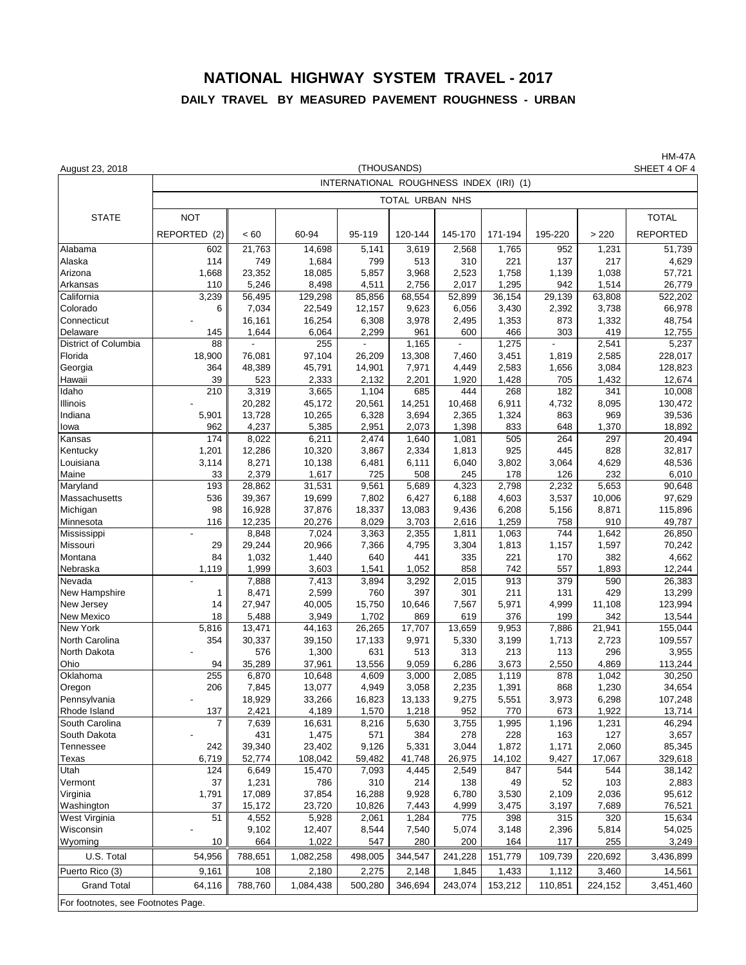### **NATIONAL HIGHWAY SYSTEM TRAVEL - 2017 DAILY TRAVEL BY MEASURED PAVEMENT ROUGHNESS - URBAN**

HM-47A<br>SHEET 4 OF 4 August 23, 2018 SHEET 4 OF 4 INTERNATIONAL ROUGHNESS INDEX (IRI) (1) TOTAL URBAN NHS STATE | NOT || || || || || || || || TOTAL REPORTED (2)|| < 60 || 60-94 || 95-119 ||120-144 || 145-170 || 171-194 || 195-220 || >220 || REPORTED Alabama 602 || 21,763 | 14,698 | 5,141 | 3,619 | 2,568 | 1,765 | 952 | 1,231 | 51,739 Alaska | 114 || 749 || 1,684 || 799 || 513 || 310 || 221 || 137 || 217 || 1,629 Arizona 1,668 23,352 18,085 5,857 3,968 2,523 1,758 1,139 1,038 57,721 Arkansas | 110 || 5,246 | 8,498 || 4,511 || 2,756 || 2,017 || 1,295 || 942 || 1,514 || 26,779 California 3,239 56,495 129,298 85,856 68,554 52,899 36,154 29,139 63,808 522,202 Colorado 6 || 7,034 | 22,549 | 12,157 | 9,623 | 6,056 | 3,430 | 2,392 | 3,738 | 66,978 Connecticut | - || 16,161 || 16,254 || 6,308 || 3,978 || 2,495 || 1,353 || 873 || 1,332 || 48,754 Delaware 145 1,644 6,064 2,299 961 600 466 303 419 12,755 District of Columbia 88 - 255 - 1,165 - 1,275 - 2,541 5,237 Florida 18,900 76,081 97,104 26,209 13,308 7,460 3,451 1,819 2,585 228,017 Georgia 364 || 48,389 | 45,791 | 14,901 | 7,971 | 4,449 | 2,583 | 1,656 | 3,084 | 128,823 Hawaii 39 523 2,333 2,132 2,201 1,920 1,428 705 1,432 12,674 Idaho | 210 || 3,319 | 3,665 | 1,104 | 685 | 444 | 268 | 182 | 341 | 10,008 Illinois | - || 20,282 | 45,172 | 20,561 | 14,251 | 10,468 | 6,911 | 4,732 | 8,095 | 130,472 Indiana 5,901 || 13,728 | 10,265 | 6,328 | 3,694 | 2,365 | 1,324 | 863 | 969 | 39,536 Iowa 962 4,237 5,385 2,951 2,073 1,398 833 648 1,370 18,892 Kansas 174 || 8,022 | 6,211 | 2,474 | 1,640 | 1,081 | 505 | 264 | 297 | 20,494 Kentucky | 1,201 || 12,286 || 10,320 || 3,867 || 2,334 || 1,813 || 925 || 445 || 828 || 32,817 Louisiana 3,114 8,271 10,138 6,481 6,111 6,040 3,802 3,064 4,629 48,536 Maine 33 2,379 1,617 725 508 245 178 126 232 6,010 Maryland | 193 || 28,862 | 31,531 || 9,561 || 5,689 || 4,323 || 2,798 || 2,232 || 5,653 || 90,648 Massachusetts | 536 || 39,367 | 19,699 | 7,802 | 6,427 | 6,188 || 4,603 || 3,537 || 10,006 | 97,629 Michigan 98 16,928 37,876 18,337 13,083 9,436 6,208 5,156 8,871 115,896 Minnesota | 116 || 12,235 || 20,276 || 8,029 || 3,703 || 2,616 || 1,259 || 758 || 910 || 49,787 Mississippi | - || 8,848 | 7,024 | 3,363 | 2,355 | 1,811 | 1,063 | 744 | 1,642 | 26,850 Missouri 29 29,244 20,966 7,366 4,795 3,304 1,813 1,157 1,597 70,242 Montana 84 || 1,032 | 1,440 | 640 | 441 | 335 | 221 | 170 | 382 | 4,662 Nebraska | 1,119 || 1,999 | 3,603 | 1,541 || 1,052 | 858 | 742 | 557 | 1,893 | 12,244 Nevada - 7,888 7,413 3,894 3,292 2,015 913 379 590 26,383 New Hampshire | 1 || 8,471 | 2,599 | 760 | 397 | 201 | 131 | 429 | 13,299 New Jersey | 14 || 27,947 | 40,005 | 15,750 | 10,646 | 7,567 | 5,971 | 4,999 | 11,108 | 123,994 New Mexico | 18 || 5,488 | 3,949 | 1,702 | 869 | 619 | 376 | 199 | 342 | 13,544 New York 5,816 13,471 44,163 26,265 17,707 13,659 9,953 7,886 21,941 155,044 North Carolina | 354 || 30,337 | 39,150 | 17,133 | 9,971 | 5,330 | 3,199 | 1,713 | 2,723 | 109,557 North Dakota | - || 576 | 1,300 | 631 | 513 | 313 | 213 | 113 | 296 | 3,955 Ohio 94 35,289 37,961 13,556 9,059 6,286 3,673 2,550 4,869 113,244 Oklahoma | 255 || 6,870 || 10,648 || 4,609 || 3,000 || 2,085 || 1,119 || 878 || 1,042 || 30,250 Oregon 206 || 7,845 | 13,077 | 4,949 | 3,058 | 2,235 | 1,391 | 868 | 1,230 | 34,654 Pennsylvania - 18,929 33,266 16,823 13,133 9,275 5,551 3,973 6,298 107,248 Rhode Island | 137 || 2,421 | 4,189 | 1,570 | 1,218 | 952 | 770 | 673 | 1,922 | 13,714 South Carolina | 7 || 7,639 | 16,631 | 8,216 | 5,630 | 3,755 | 1,995 | 1,196 | 1,231 | 46,294 South Dakota | - || 431 | 1,475 | 571 | 384 | 278 | 228 | 163 | 127 | 3,657 Tennessee | 242 || 39,340 | 23,402 | 9,126 | 5,331 | 3,044 | 1,872 | 1,171 || 2,060 | 85,345 Texas 6,719 52,774 108,042 59,482 41,748 26,975 14,102 9,427 17,067 329,618 Utah 124 6,649 15,470 7,093 4,445 2,549 847 544 544 38,142 Vermont | 37 || 1,231 || 786 || 310 || 214 || 138 || 49 || 52 || 103 || 2,883 Virginia 1,791 || 17,089 | 37,854 | 16,288 | 9,928 | 6,780 | 3,530 | 2,109 | 2,036 | 95,612 Washington | 37 || 15,172 | 23,720 | 10,826 | 7,443 | 4,999 | 3,475 | 3,197 | 7,689 | 76,521 West Virginia 51 4,552 5,928 2,061 1,284 775 398 315 320 15,634 Wisconsin - 9,102 12,407 8,544 7,540 5,074 3,148 2,396 5,814 54,025 Wyoming | 10 || 664 | 1,022 | 547 | 280 | 200 | 164 | 117 | 255 | 3,249 U.S. Total 54,956 788,651 1,082,258 498,005 344,547 241,228 151,779 109,739 220,692 3,436,899 Puerto Rico (3) 9,161 108 2,180 2,275 2,148 1,845 1,433 1,112 3,460 14,561 Grand Total | 64,116 || 788,760 | 1,084,438 | 500,280 | 346,694 | 243,074 | 153,212 | 110,851 | 224,152 | 3,451,460 For footnotes, see Footnotes Page. (THOUSANDS)